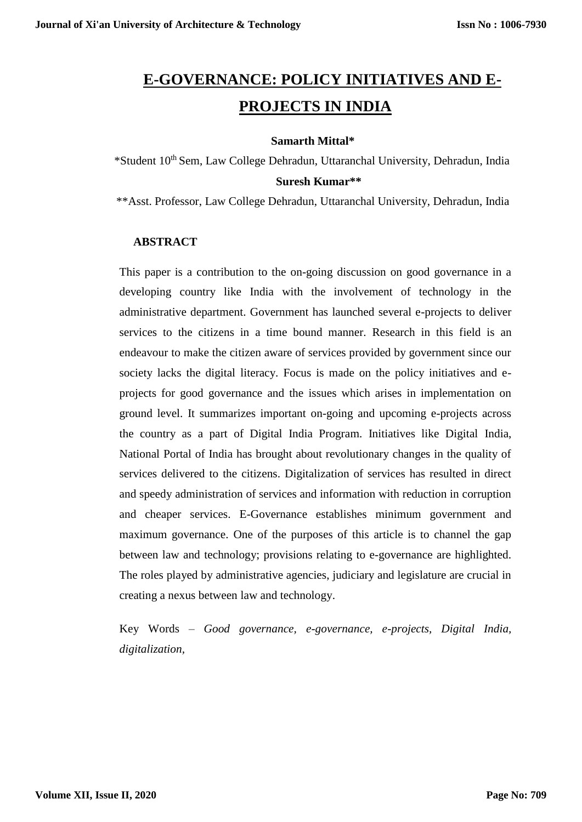# **E-GOVERNANCE: POLICY INITIATIVES AND E-PROJECTS IN INDIA**

## **Samarth Mittal\***

 \*Student 10th Sem, Law College Dehradun, Uttaranchal University, Dehradun, India  **Suresh Kumar\*\***

\*\*Asst. Professor, Law College Dehradun, Uttaranchal University, Dehradun, India

# **ABSTRACT**

This paper is a contribution to the on-going discussion on good governance in a developing country like India with the involvement of technology in the administrative department. Government has launched several e-projects to deliver services to the citizens in a time bound manner. Research in this field is an endeavour to make the citizen aware of services provided by government since our society lacks the digital literacy. Focus is made on the policy initiatives and eprojects for good governance and the issues which arises in implementation on ground level. It summarizes important on-going and upcoming e-projects across the country as a part of Digital India Program. Initiatives like Digital India, National Portal of India has brought about revolutionary changes in the quality of services delivered to the citizens. Digitalization of services has resulted in direct and speedy administration of services and information with reduction in corruption and cheaper services. E-Governance establishes minimum government and maximum governance. One of the purposes of this article is to channel the gap between law and technology; provisions relating to e-governance are highlighted. The roles played by administrative agencies, judiciary and legislature are crucial in creating a nexus between law and technology.

Key Words – *Good governance, e-governance, e-projects, Digital India, digitalization,*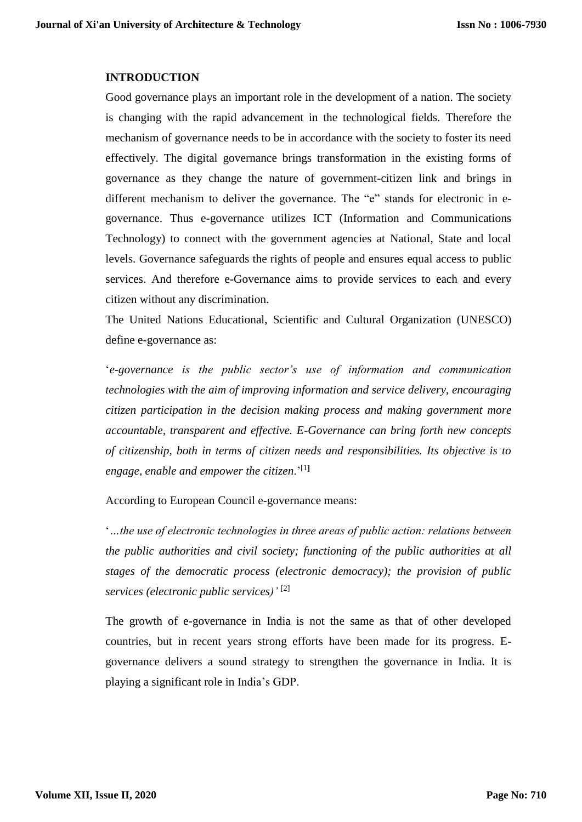#### **INTRODUCTION**

Good governance plays an important role in the development of a nation. The society is changing with the rapid advancement in the technological fields. Therefore the mechanism of governance needs to be in accordance with the society to foster its need effectively. The digital governance brings transformation in the existing forms of governance as they change the nature of government-citizen link and brings in different mechanism to deliver the governance. The "e" stands for electronic in egovernance. Thus e-governance utilizes ICT (Information and Communications Technology) to connect with the government agencies at National, State and local levels. Governance safeguards the rights of people and ensures equal access to public services. And therefore e-Governance aims to provide services to each and every citizen without any discrimination.

The United Nations Educational, Scientific and Cultural Organization (UNESCO) define e-governance as:

'*e-governance is the public sector's use of information and communication technologies with the aim of improving information and service delivery, encouraging citizen participation in the decision making process and making government more accountable, transparent and effective. E-Governance can bring forth new concepts of citizenship, both in terms of citizen needs and responsibilities. Its objective is to engage, enable and empower the citizen*.'[1**]**

According to European Council e-governance means:

'*…the use of electronic technologies in three areas of public action: relations between the public authorities and civil society; functioning of the public authorities at all stages of the democratic process (electronic democracy); the provision of public services (electronic public services)'* [2]

The growth of e-governance in India is not the same as that of other developed countries, but in recent years strong efforts have been made for its progress. Egovernance delivers a sound strategy to strengthen the governance in India. It is playing a significant role in India's GDP.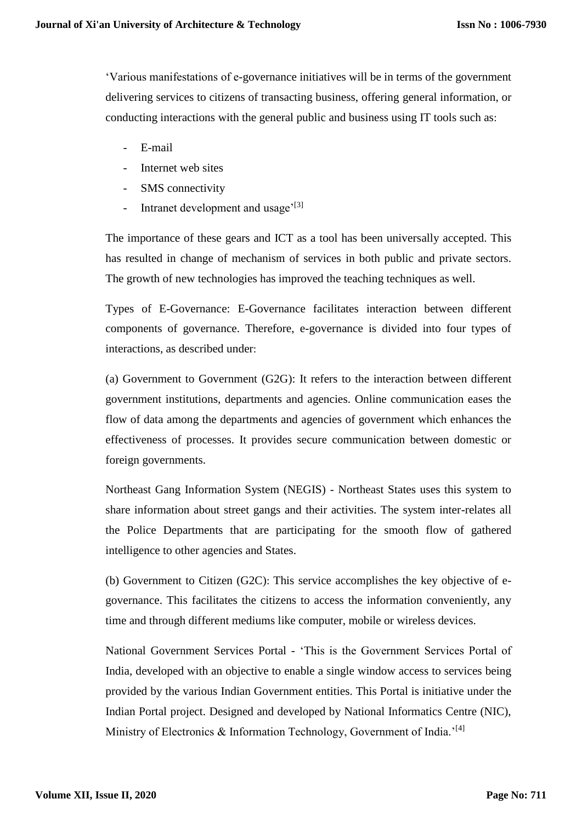'Various manifestations of e-governance initiatives will be in terms of the government delivering services to citizens of transacting business, offering general information, or conducting interactions with the general public and business using IT tools such as:

- E-mail
- Internet web sites
- SMS connectivity
- Intranet development and usage $^{\prime$ [3]

The importance of these gears and ICT as a tool has been universally accepted. This has resulted in change of mechanism of services in both public and private sectors. The growth of new technologies has improved the teaching techniques as well.

Types of E-Governance: E-Governance facilitates interaction between different components of governance. Therefore, e-governance is divided into four types of interactions, as described under:

(a) Government to Government (G2G): It refers to the interaction between different government institutions, departments and agencies. Online communication eases the flow of data among the departments and agencies of government which enhances the effectiveness of processes. It provides secure communication between domestic or foreign governments.

Northeast Gang Information System (NEGIS) - Northeast States uses this system to share information about street gangs and their activities. The system inter-relates all the Police Departments that are participating for the smooth flow of gathered intelligence to other agencies and States.

(b) Government to Citizen (G2C): This service accomplishes the key objective of egovernance. This facilitates the citizens to access the information conveniently, any time and through different mediums like computer, mobile or wireless devices.

National Government Services Portal - 'This is the Government Services Portal of India, developed with an objective to enable a single window access to services being provided by the various Indian Government entities. This Portal is initiative under the Indian Portal project. Designed and developed by National Informatics Centre (NIC), Ministry of Electronics & Information Technology, Government of India.<sup>'[4]</sup>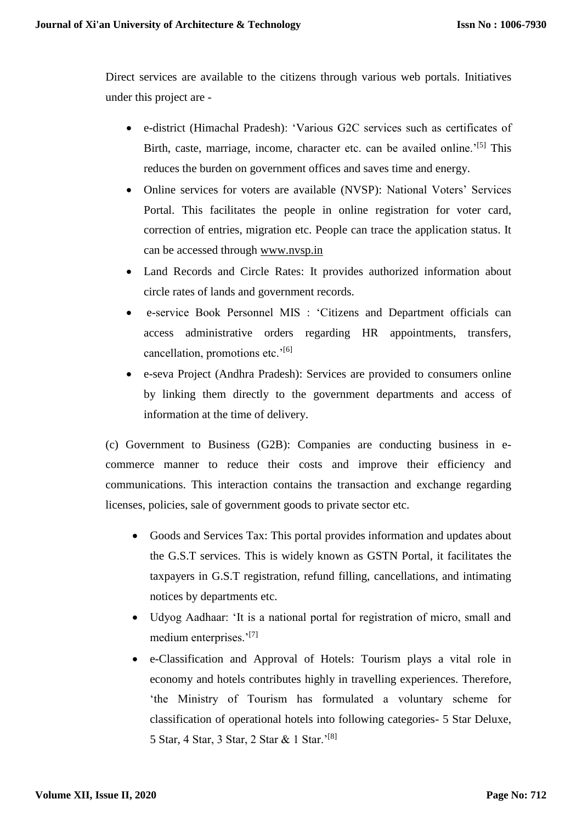Direct services are available to the citizens through various web portals. Initiatives under this project are -

- e-district (Himachal Pradesh): 'Various G2C services such as certificates of Birth, caste, marriage, income, character etc. can be availed online.<sup> $15$ ]</sup> This reduces the burden on government offices and saves time and energy.
- Online services for voters are available (NVSP): National Voters' Services Portal. This facilitates the people in online registration for voter card, correction of entries, migration etc. People can trace the application status. It can be accessed through [www.nvsp.in](http://www.nvsp.in/)
- Land Records and Circle Rates: It provides authorized information about circle rates of lands and government records.
- e-service Book Personnel MIS : 'Citizens and Department officials can access administrative orders regarding HR appointments, transfers, cancellation, promotions etc.'<sup>[6]</sup>
- e-seva Project (Andhra Pradesh): Services are provided to consumers online by linking them directly to the government departments and access of information at the time of delivery.

(c) Government to Business (G2B): Companies are conducting business in ecommerce manner to reduce their costs and improve their efficiency and communications. This interaction contains the transaction and exchange regarding licenses, policies, sale of government goods to private sector etc.

- Goods and Services Tax: This portal provides information and updates about the G.S.T services. This is widely known as GSTN Portal, it facilitates the taxpayers in G.S.T registration, refund filling, cancellations, and intimating notices by departments etc.
- Udyog Aadhaar: 'It is a national portal for registration of micro, small and medium enterprises.'[7]
- e-Classification and Approval of Hotels: Tourism plays a vital role in economy and hotels contributes highly in travelling experiences. Therefore, 'the Ministry of Tourism has formulated a voluntary scheme for classification of operational hotels into following categories- 5 Star Deluxe, 5 Star, 4 Star, 3 Star, 2 Star & 1 Star.'[8]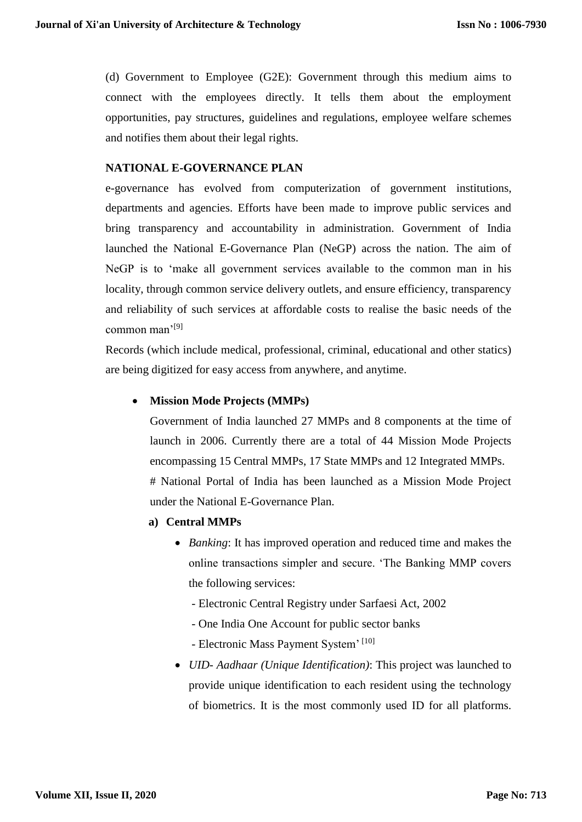(d) Government to Employee (G2E): Government through this medium aims to connect with the employees directly. It tells them about the employment opportunities, pay structures, guidelines and regulations, employee welfare schemes and notifies them about their legal rights.

## **NATIONAL E-GOVERNANCE PLAN**

e-governance has evolved from computerization of government institutions, departments and agencies. Efforts have been made to improve public services and bring transparency and accountability in administration. Government of India launched the National E-Governance Plan (NeGP) across the nation. The aim of NeGP is to 'make all government services available to the common man in his locality, through common service delivery outlets, and ensure efficiency, transparency and reliability of such services at affordable costs to realise the basic needs of the common man'[9]

Records (which include medical, professional, criminal, educational and other statics) are being digitized for easy access from anywhere, and anytime.

## **Mission Mode Projects (MMPs)**

Government of India launched 27 MMPs and 8 components at the time of launch in 2006. Currently there are a total of 44 Mission Mode Projects encompassing 15 Central MMPs, 17 State MMPs and 12 Integrated MMPs. # National Portal of India has been launched as a Mission Mode Project under the National E-Governance Plan.

- **a) Central MMPs**
	- *Banking*: It has improved operation and reduced time and makes the online transactions simpler and secure. 'The Banking MMP covers the following services:
		- Electronic Central Registry under Sarfaesi Act, 2002
		- One India One Account for public sector banks
		- Electronic Mass Payment System' [10]
	- *UID- Aadhaar (Unique Identification)*: This project was launched to provide unique identification to each resident using the technology of biometrics. It is the most commonly used ID for all platforms.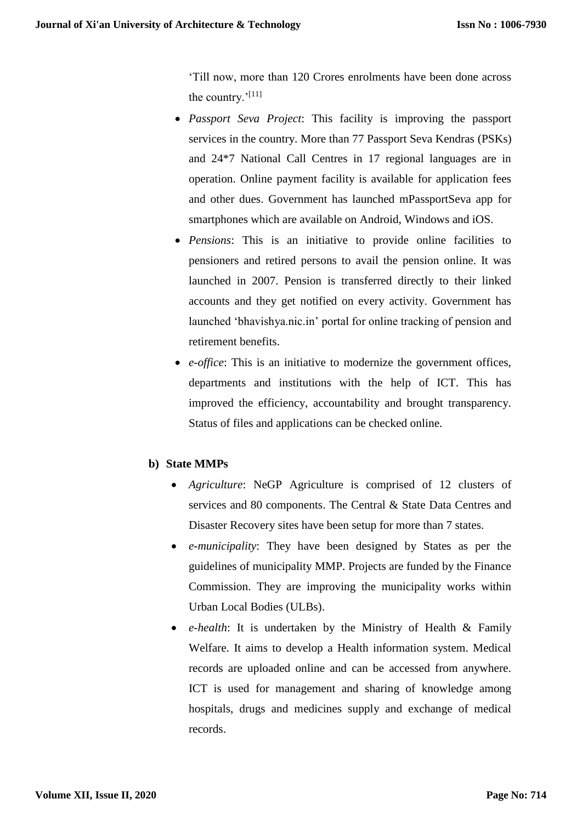'Till now, more than 120 Crores enrolments have been done across the country.'[11]

- *Passport Seva Project*: This facility is improving the passport services in the country. More than 77 Passport Seva Kendras (PSKs) and 24\*7 National Call Centres in 17 regional languages are in operation. Online payment facility is available for application fees and other dues. Government has launched mPassportSeva app for smartphones which are available on Android, Windows and iOS.
- *Pensions*: This is an initiative to provide online facilities to pensioners and retired persons to avail the pension online. It was launched in 2007. Pension is transferred directly to their linked accounts and they get notified on every activity. Government has launched 'bhavishya.nic.in' portal for online tracking of pension and retirement benefits.
- *e-office*: This is an initiative to modernize the government offices, departments and institutions with the help of ICT. This has improved the efficiency, accountability and brought transparency. Status of files and applications can be checked online.

# **b) State MMPs**

- *Agriculture*: NeGP Agriculture is comprised of 12 clusters of services and 80 components. The Central & State Data Centres and Disaster Recovery sites have been setup for more than 7 states.
- *e-municipality*: They have been designed by States as per the guidelines of municipality MMP. Projects are funded by the Finance Commission. They are improving the municipality works within Urban Local Bodies (ULBs).
- *e-health*: It is undertaken by the Ministry of Health & Family Welfare. It aims to develop a Health information system. Medical records are uploaded online and can be accessed from anywhere. ICT is used for management and sharing of knowledge among hospitals, drugs and medicines supply and exchange of medical records.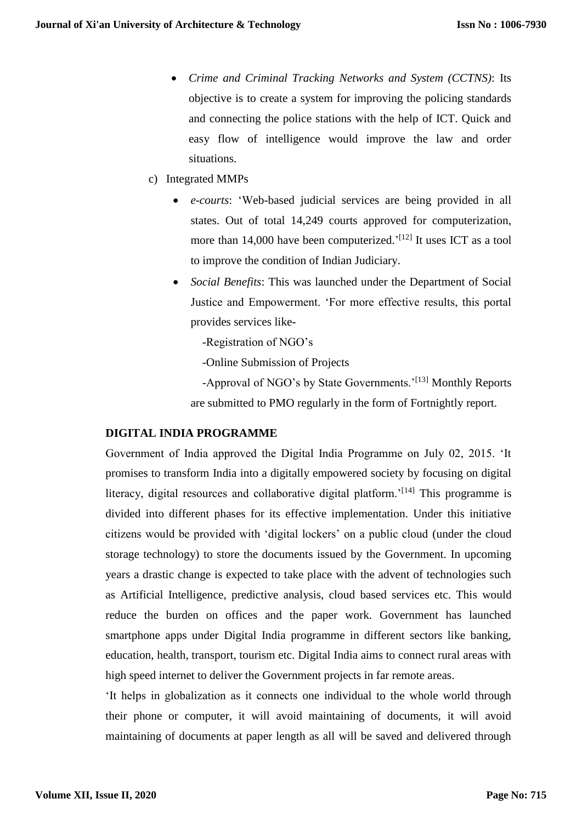- *Crime and Criminal Tracking Networks and System (CCTNS)*: Its objective is to create a system for improving the policing standards and connecting the police stations with the help of ICT. Quick and easy flow of intelligence would improve the law and order situations.
- c) Integrated MMPs
	- *e-courts*: 'Web-based judicial services are being provided in all states. Out of total 14,249 courts approved for computerization, more than 14,000 have been computerized.<sup>'[12]</sup> It uses ICT as a tool to improve the condition of Indian Judiciary.
	- *Social Benefits*: This was launched under the Department of Social Justice and Empowerment. 'For more effective results, this portal provides services like-
		- -Registration of NGO's
		- -Online Submission of Projects

-Approval of NGO's by State Governments.<sup>'[13]</sup> Monthly Reports are submitted to PMO regularly in the form of Fortnightly report.

## **DIGITAL INDIA PROGRAMME**

Government of India approved the Digital India Programme on July 02, 2015. 'It promises to transform India into a digitally empowered society by focusing on digital literacy, digital resources and collaborative digital platform.<sup>'[14]</sup> This programme is divided into different phases for its effective implementation. Under this initiative citizens would be provided with 'digital lockers' on a public cloud (under the cloud storage technology) to store the documents issued by the Government. In upcoming years a drastic change is expected to take place with the advent of technologies such as Artificial Intelligence, predictive analysis, cloud based services etc. This would reduce the burden on offices and the paper work. Government has launched smartphone apps under Digital India programme in different sectors like banking, education, health, transport, tourism etc. Digital India aims to connect rural areas with high speed internet to deliver the Government projects in far remote areas.

'It helps in globalization as it connects one individual to the whole world through their phone or computer, it will avoid maintaining of documents, it will avoid maintaining of documents at paper length as all will be saved and delivered through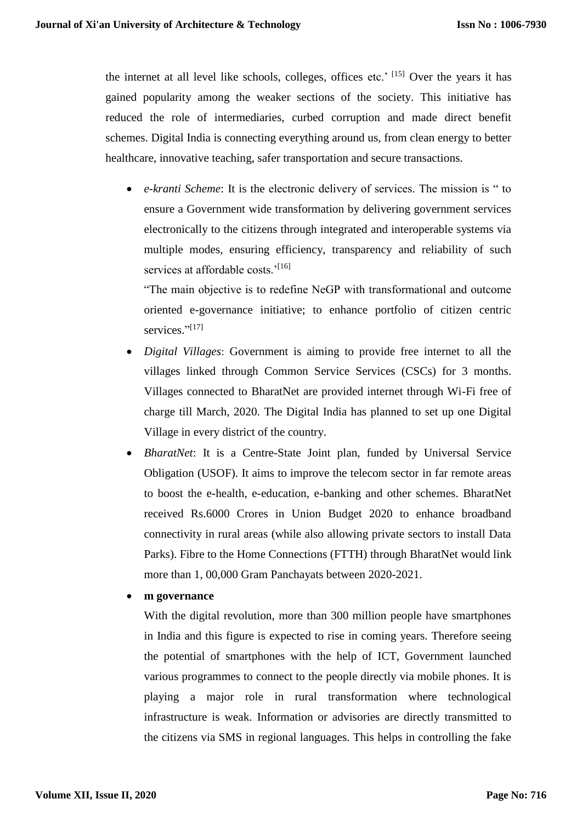the internet at all level like schools, colleges, offices etc.' [15] Over the years it has gained popularity among the weaker sections of the society. This initiative has reduced the role of intermediaries, curbed corruption and made direct benefit schemes. Digital India is connecting everything around us, from clean energy to better healthcare, innovative teaching, safer transportation and secure transactions.

 *e-kranti Scheme*: It is the electronic delivery of services. The mission is " to ensure a Government wide transformation by delivering government services electronically to the citizens through integrated and interoperable systems via multiple modes, ensuring efficiency, transparency and reliability of such services at affordable costs.'<sup>[16]</sup>

"The main objective is to redefine NeGP with transformational and outcome oriented e-governance initiative; to enhance portfolio of citizen centric services."<sup>[17]</sup>

- *Digital Villages*: Government is aiming to provide free internet to all the villages linked through Common Service Services (CSCs) for 3 months. Villages connected to BharatNet are provided internet through Wi-Fi free of charge till March, 2020. The Digital India has planned to set up one Digital Village in every district of the country.
- *BharatNet*: It is a Centre-State Joint plan, funded by Universal Service Obligation (USOF). It aims to improve the telecom sector in far remote areas to boost the e-health, e-education, e-banking and other schemes. BharatNet received Rs.6000 Crores in Union Budget 2020 to enhance broadband connectivity in rural areas (while also allowing private sectors to install Data Parks). Fibre to the Home Connections (FTTH) through BharatNet would link more than 1, 00,000 Gram Panchayats between 2020-2021.
- **m governance**

With the digital revolution, more than 300 million people have smartphones in India and this figure is expected to rise in coming years. Therefore seeing the potential of smartphones with the help of ICT, Government launched various programmes to connect to the people directly via mobile phones. It is playing a major role in rural transformation where technological infrastructure is weak. Information or advisories are directly transmitted to the citizens via SMS in regional languages. This helps in controlling the fake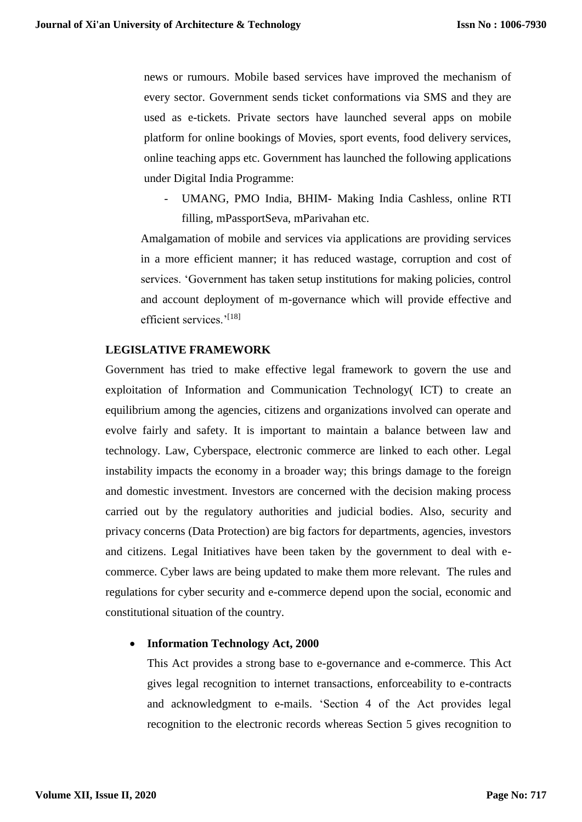news or rumours. Mobile based services have improved the mechanism of every sector. Government sends ticket conformations via SMS and they are used as e-tickets. Private sectors have launched several apps on mobile platform for online bookings of Movies, sport events, food delivery services, online teaching apps etc. Government has launched the following applications under Digital India Programme:

- UMANG, PMO India, BHIM- Making India Cashless, online RTI filling, mPassportSeva, mParivahan etc.

Amalgamation of mobile and services via applications are providing services in a more efficient manner; it has reduced wastage, corruption and cost of services. 'Government has taken setup institutions for making policies, control and account deployment of m-governance which will provide effective and efficient services.'<sup>[18]</sup>

### **LEGISLATIVE FRAMEWORK**

Government has tried to make effective legal framework to govern the use and exploitation of Information and Communication Technology( ICT) to create an equilibrium among the agencies, citizens and organizations involved can operate and evolve fairly and safety. It is important to maintain a balance between law and technology. Law, Cyberspace, electronic commerce are linked to each other. Legal instability impacts the economy in a broader way; this brings damage to the foreign and domestic investment. Investors are concerned with the decision making process carried out by the regulatory authorities and judicial bodies. Also, security and privacy concerns (Data Protection) are big factors for departments, agencies, investors and citizens. Legal Initiatives have been taken by the government to deal with ecommerce. Cyber laws are being updated to make them more relevant. The rules and regulations for cyber security and e-commerce depend upon the social, economic and constitutional situation of the country.

## **Information Technology Act, 2000**

This Act provides a strong base to e-governance and e-commerce. This Act gives legal recognition to internet transactions, enforceability to e-contracts and acknowledgment to e-mails. 'Section 4 of the Act provides legal recognition to the electronic records whereas Section 5 gives recognition to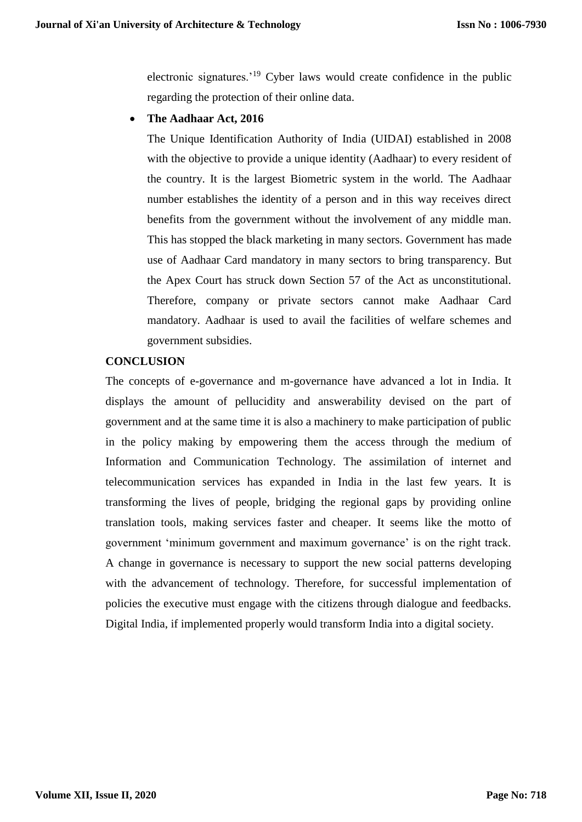electronic signatures.'<sup>19</sup> Cyber laws would create confidence in the public regarding the protection of their online data.

**The Aadhaar Act, 2016**

The Unique Identification Authority of India (UIDAI) established in 2008 with the objective to provide a unique identity (Aadhaar) to every resident of the country. It is the largest Biometric system in the world. The Aadhaar number establishes the identity of a person and in this way receives direct benefits from the government without the involvement of any middle man. This has stopped the black marketing in many sectors. Government has made use of Aadhaar Card mandatory in many sectors to bring transparency. But the Apex Court has struck down Section 57 of the Act as unconstitutional. Therefore, company or private sectors cannot make Aadhaar Card mandatory. Aadhaar is used to avail the facilities of welfare schemes and government subsidies.

## **CONCLUSION**

The concepts of e-governance and m-governance have advanced a lot in India. It displays the amount of pellucidity and answerability devised on the part of government and at the same time it is also a machinery to make participation of public in the policy making by empowering them the access through the medium of Information and Communication Technology. The assimilation of internet and telecommunication services has expanded in India in the last few years. It is transforming the lives of people, bridging the regional gaps by providing online translation tools, making services faster and cheaper. It seems like the motto of government 'minimum government and maximum governance' is on the right track. A change in governance is necessary to support the new social patterns developing with the advancement of technology. Therefore, for successful implementation of policies the executive must engage with the citizens through dialogue and feedbacks. Digital India, if implemented properly would transform India into a digital society.